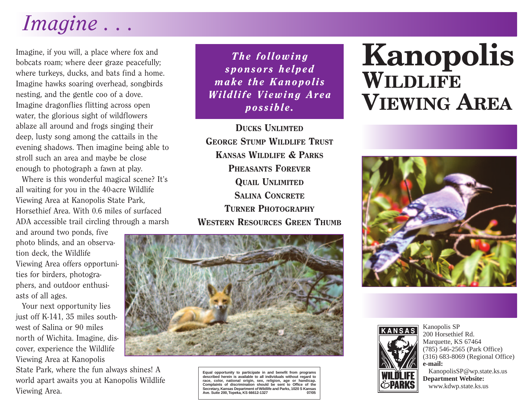## *Imagine . . .*

Imagine, if you will, a place where fox and bobcats roam; where deer graze peacefully; where turkeys, ducks, and bats find a home. Imagine hawks soaring overhead, songbirds nesting, and the gentle coo of a dove. Imagine dragonflies flitting across open water, the glorious sight of wildflowers ablaze all around and frogs singing their deep, lusty song among the cattails in the evening shadows. Then imagine being able to stroll such an area and maybe be close enough to photograph a fawn at play.

Where is this wonderful magical scene? It's all waiting for you in the 40-acre Wildlife Viewing Area at Kanopolis State Park, Horsethief Area. With 0.6 miles of surfaced ADA accessible trail circling through a marsh

and around two ponds, five photo blinds, and an observation deck, the Wildlife Viewing Area offers opportunities for birders, photographers, and outdoor enthusiasts of all ages.

Your next opportunity lies just off K-141, 35 miles southwest of Salina or 90 miles north of Wichita. Imagine, discover, experience the Wildlife Viewing Area at Kanopolis

State Park, where the fun always shines! A world apart awaits you at Kanopolis Wildlife Viewing Area.

*The following sponsors helped make the Kanopolis Wildlife Viewing Area possible.*

DUCKS UNLIMTED GEORGE STUMP WILDLIFE TRUST KANSAS WILDLIFE & PARKS PHEASANTS FOREVER QUAIL UNLIMITED SALINA CONCRETE TURNER PHOTOGRAPHY WESTERN RESOURCES GREEN THUMB



**Equal opportunity to participate in and benefit from programs described herein is available to all individuals without regard to race, color, national origin, sex, religion, age or handicap. Complaints of discrimination should be sent to Office of the** Secretary, Kansas Department of Wildlife and Parks, 1020 S Kansas<br>Ave. Suite 200, Topeka, KS 66612-1327<br>07/05 **Ave. Suite 200,Topeka, KS 66612-1327 07/05**

## **Kanopolis WILDLIFE VIEWING AREA**





Kanopolis SP 200 Horsethief Rd. Marquette, KS 67464 (785) 546-2565 (Park Office) (316) 683-8069 (Regional Office) **e-mail:**

KanopolisSP@wp.state.ks.us **Department Website:** www.kdwp.state.ks.us